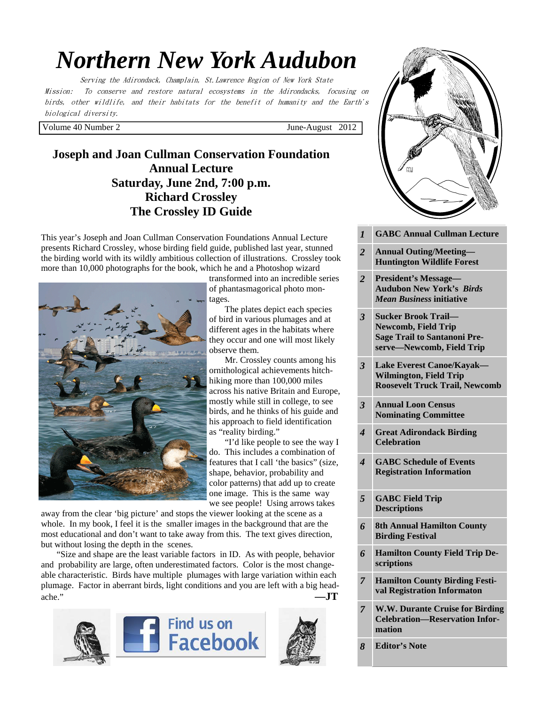# *Northern New York Audubon*

Serving the Adirondack, Champlain, St.Lawrence Region of New York State Mission: To conserve and restore natural ecosystems in the Adirondacks, focusing on birds, other wildlife, and their habitats for the benefit of humanity and the Earth's biological diversity.

Volume 40 Number 2 June-August 2012

# **Joseph and Joan Cullman Conservation Foundation Annual Lecture Saturday, June 2nd, 7:00 p.m. Richard Crossley The Crossley ID Guide**

This year's Joseph and Joan Cullman Conservation Foundations Annual Lecture presents Richard Crossley, whose birding field guide, published last year, stunned the birding world with its wildly ambitious collection of illustrations. Crossley took more than 10,000 photographs for the book, which he and a Photoshop wizard



transformed into an incredible series of phantasmagorical photo montages.

 The plates depict each species of bird in various plumages and at different ages in the habitats where they occur and one will most likely observe them.

 Mr. Crossley counts among his ornithological achievements hitchhiking more than 100,000 miles across his native Britain and Europe, mostly while still in college, to see birds, and he thinks of his guide and his approach to field identification as "reality birding."

 "I'd like people to see the way I do. This includes a combination of features that I call 'the basics" (size, shape, behavior, probability and color patterns) that add up to create one image. This is the same way we see people! Using arrows takes

away from the clear 'big picture' and stops the viewer looking at the scene as a whole. In my book, I feel it is the smaller images in the background that are the most educational and don't want to take away from this. The text gives direction, but without losing the depth in the scenes.

 "Size and shape are the least variable factors in ID. As with people, behavior and probability are large, often underestimated factors. Color is the most changeable characteristic. Birds have multiple plumages with large variation within each plumage. Factor in aberrant birds, light conditions and you are left with a big headache." **—JT**







| $\Omega$                |                                                                                           |
|-------------------------|-------------------------------------------------------------------------------------------|
| i's                     |                                                                                           |
|                         |                                                                                           |
|                         |                                                                                           |
|                         | GCLU                                                                                      |
|                         |                                                                                           |
|                         |                                                                                           |
|                         |                                                                                           |
| $\overline{l}$          | <b>GABC Annual Cullman Lecture</b><br><b>Annual Outing/Meeting-</b>                       |
| 2                       | <b>Huntington Wildlife Forest</b>                                                         |
| 2                       | <b>President's Message-</b><br><b>Audubon New York's Birds</b>                            |
|                         | <b>Mean Business initiative</b>                                                           |
| 3                       | <b>Sucker Brook Trail-</b><br><b>Newcomb, Field Trip</b>                                  |
|                         | <b>Sage Trail to Santanoni Pre-</b><br>serve-Newcomb, Field Trip                          |
| $\overline{\mathbf{3}}$ | <b>Lake Everest Canoe/Kayak-</b>                                                          |
|                         | <b>Wilmington, Field Trip</b><br><b>Roosevelt Truck Trail, Newcomb</b>                    |
| 3                       | <b>Annual Loon Census</b>                                                                 |
|                         | <b>Nominating Committee</b>                                                               |
| 4                       | <b>Great Adirondack Birding</b><br><b>Celebration</b>                                     |
| 4                       | <b>GABC Schedule of Events</b><br><b>Registration Information</b>                         |
|                         |                                                                                           |
| 5                       | <b>GABC Field Trip</b><br><b>Descriptions</b>                                             |
| 6                       | <b>8th Annual Hamilton County</b><br><b>Birding Festival</b>                              |
| 6                       | <b>Hamilton County Field Trip De-</b><br>scriptions                                       |
| 7                       | <b>Hamilton County Birding Festi-</b><br>val Registration Informaton                      |
| 7                       | <b>W.W. Durante Cruise for Birding</b><br><b>Celebration-Reservation Infor-</b><br>mation |
| 8                       | <b>Editor's Note</b>                                                                      |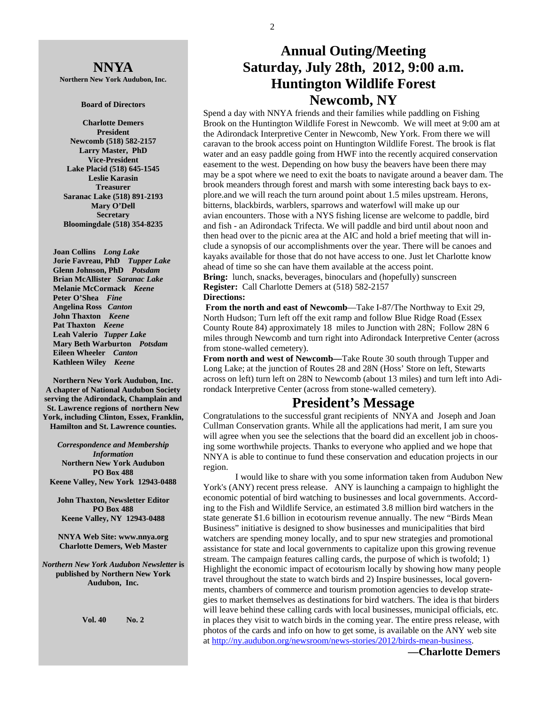**NNYA Northern New York Audubon, Inc.** 

#### **Board of Directors**

**Charlotte Demers President Newcomb (518) 582-2157 Larry Master, PhD Vice-President Lake Placid (518) 645-1545 Leslie Karasin Treasurer Saranac Lake (518) 891-2193 Mary O'Dell Secretary Bloomingdale (518) 354-8235** 

 **Joan Collins** *Long Lake*   **Jorie Favreau, PhD** *Tupper Lake*  **Glenn Johnson, PhD** *Potsdam*   **Brian McAllister** *Saranac Lake*   **Melanie McCormack** *Keene*   **Peter O'Shea** *Fine*   **Angelina Ross** *Canton* **John Thaxton** *Keene* **Pat Thaxton** *Keene* **Leah Valerio** *Tupper Lake*   **Mary Beth Warburton** *Potsdam*   **Eileen Wheeler** *Canton* **Kathleen Wiley** *Keene* 

**Northern New York Audubon, Inc. A chapter of National Audubon Society serving the Adirondack, Champlain and St. Lawrence regions of northern New York, including Clinton, Essex, Franklin, Hamilton and St. Lawrence counties.** 

*Correspondence and Membership Information* **Northern New York Audubon PO Box 488 Keene Valley, New York 12943-0488** 

**John Thaxton, Newsletter Editor PO Box 488 Keene Valley, NY 12943-0488** 

**NNYA Web Site: www.nnya.org Charlotte Demers, Web Master**

*Northern New York Audubon Newsletter* **is published by Northern New York Audubon, Inc.** 

**Vol. 40 No. 2** 

# **Annual Outing/Meeting Saturday, July 28th, 2012, 9:00 a.m. Huntington Wildlife Forest Newcomb, NY**

Spend a day with NNYA friends and their families while paddling on Fishing Brook on the Huntington Wildlife Forest in Newcomb. We will meet at 9:00 am at the Adirondack Interpretive Center in Newcomb, New York. From there we will caravan to the brook access point on Huntington Wildlife Forest. The brook is flat water and an easy paddle going from HWF into the recently acquired conservation easement to the west. Depending on how busy the beavers have been there may may be a spot where we need to exit the boats to navigate around a beaver dam. The brook meanders through forest and marsh with some interesting back bays to explore.and we will reach the turn around point about 1.5 miles upstream. Herons, bitterns, blackbirds, warblers, sparrows and waterfowl will make up our avian encounters. Those with a NYS fishing license are welcome to paddle, bird and fish - an Adirondack Trifecta. We will paddle and bird until about noon and then head over to the picnic area at the AIC and hold a brief meeting that will include a synopsis of our accomplishments over the year. There will be canoes and kayaks available for those that do not have access to one. Just let Charlotte know ahead of time so she can have them available at the access point. **Bring:** lunch, snacks, beverages, binoculars and (hopefully) sunscreen

**Register:** Call Charlotte Demers at (518) 582-2157 **Directions:** 

 **From the north and east of Newcomb**—Take I-87/The Northway to Exit 29, North Hudson; Turn left off the exit ramp and follow Blue Ridge Road (Essex County Route 84) approximately 18 miles to Junction with 28N; Follow 28N 6 miles through Newcomb and turn right into Adirondack Interpretive Center (across from stone-walled cemetery).

**From north and west of Newcomb—**Take Route 30 south through Tupper and Long Lake; at the junction of Routes 28 and 28N (Hoss' Store on left, Stewarts across on left) turn left on 28N to Newcomb (about 13 miles) and turn left into Adirondack Interpretive Center (across from stone-walled cemetery).

# **President's Message**

Congratulations to the successful grant recipients of NNYA and Joseph and Joan Cullman Conservation grants. While all the applications had merit, I am sure you will agree when you see the selections that the board did an excellent job in choosing some worthwhile projects. Thanks to everyone who applied and we hope that NNYA is able to continue to fund these conservation and education projects in our region.

 I would like to share with you some information taken from Audubon New York's (ANY) recent press release. ANY is launching a campaign to highlight the economic potential of bird watching to businesses and local governments. According to the Fish and Wildlife Service, an estimated 3.8 million bird watchers in the state generate \$1.6 billion in ecotourism revenue annually. The new "Birds Mean Business" initiative is designed to show businesses and municipalities that bird watchers are spending money locally, and to spur new strategies and promotional assistance for state and local governments to capitalize upon this growing revenue stream. The campaign features calling cards, the purpose of which is twofold; 1) Highlight the economic impact of ecotourism locally by showing how many people travel throughout the state to watch birds and 2) Inspire businesses, local governments, chambers of commerce and tourism promotion agencies to develop strategies to market themselves as destinations for bird watchers. The idea is that birders will leave behind these calling cards with local businesses, municipal officials, etc. in places they visit to watch birds in the coming year. The entire press release, with photos of the cards and info on how to get some, is available on the ANY web site at http://ny.audubon.org/newsroom/news-stories/2012/birds-mean-business.

**—Charlotte Demers**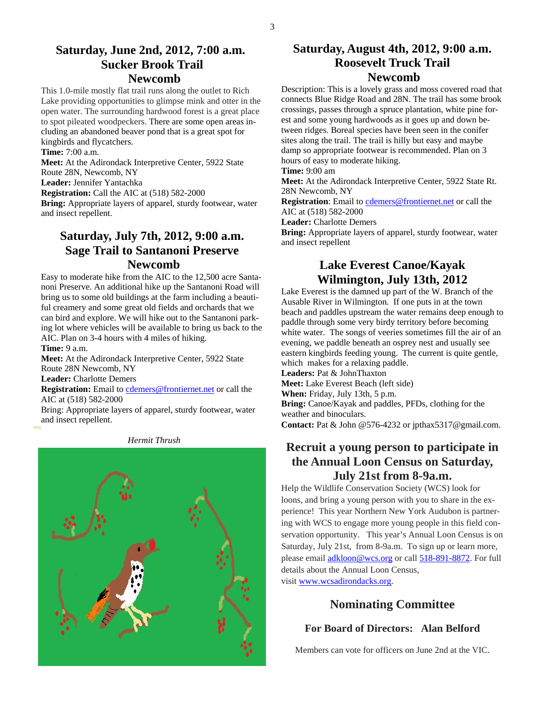## **Saturday, June 2nd, 2012, 7:00 a.m. Sucker Brook Trail Newcomb**

This 1.0-mile mostly flat trail runs along the outlet to Rich Lake providing opportunities to glimpse mink and otter in the open water. The surrounding hardwood forest is a great place to spot pileated woodpeckers. There are some open areas including an abandoned beaver pond that is a great spot for kingbirds and flycatchers.

**Time:** 7:00 a.m.

**Meet:** At the Adirondack Interpretive Center, 5922 State

Route 28N, Newcomb, NY **Leader:** Jennifer Yantachka

**Registration:** Call the AIC at (518) 582-2000

**Bring:** Appropriate layers of apparel, sturdy footwear, water and insect repellent.

# **Saturday, July 7th, 2012, 9:00 a.m. Sage Trail to Santanoni Preserve Newcomb**

Easy to moderate hike from the AIC to the 12,500 acre Santanoni Preserve. An additional hike up the Santanoni Road will bring us to some old buildings at the farm including a beautiful creamery and some great old fields and orchards that we can bird and explore. We will hike out to the Santanoni parking lot where vehicles will be available to bring us back to the AIC. Plan on 3-4 hours with 4 miles of hiking.

**Time:** 9 a.m.

**Meet:** At the Adirondack Interpretive Center, 5922 State Route 28N Newcomb, NY

**Leader:** Charlotte Demers

**Registration:** Email to cdemers@frontiernet.net or call the AIC at (518) 582-2000

Bring: Appropriate layers of apparel, sturdy footwear, water and insect repellent.



#### *Hermit Thrush*

## **Saturday, August 4th, 2012, 9:00 a.m. Roosevelt Truck Trail Newcomb**

Description: This is a lovely grass and moss covered road that connects Blue Ridge Road and 28N. The trail has some brook crossings, passes through a spruce plantation, white pine forest and some young hardwoods as it goes up and down between ridges. Boreal species have been seen in the conifer sites along the trail. The trail is hilly but easy and maybe damp so appropriate footwear is recommended. Plan on 3 hours of easy to moderate hiking.

**Time:** 9:00 am

**Meet:** At the Adirondack Interpretive Center, 5922 State Rt. 28N Newcomb, NY

**Registration**: Email to cdemers@frontiernet.net or call the AIC at (518) 582-2000

**Leader:** Charlotte Demers

**Bring:** Appropriate layers of apparel, sturdy footwear, water and insect repellent

## **Lake Everest Canoe/Kayak Wilmington, July 13th, 2012**

Lake Everest is the damned up part of the W. Branch of the Ausable River in Wilmington. If one puts in at the town beach and paddles upstream the water remains deep enough to paddle through some very birdy territory before becoming white water. The songs of veeries sometimes fill the air of an evening, we paddle beneath an osprey nest and usually see eastern kingbirds feeding young. The current is quite gentle, which makes for a relaxing paddle. **Leaders:** Pat & JohnThaxton

**Meet:** Lake Everest Beach (left side)

**When:** Friday, July 13th, 5 p.m.

**Bring:** Canoe/Kayak and paddles, PFDs, clothing for the weather and binoculars.

**Contact:** Pat & John @576-4232 or jpthax5317@gmail.com.

## **Recruit a young person to participate in the Annual Loon Census on Saturday, July 21st from 8-9a.m.**

Help the Wildlife Conservation Society (WCS) look for loons, and bring a young person with you to share in the experience! This year Northern New York Audubon is partnering with WCS to engage more young people in this field conservation opportunity. This year's Annual Loon Census is on Saturday, July 21st, from 8-9a.m. To sign up or learn more, please email adkloon@wcs.org or call 518-891-8872. For full details about the Annual Loon Census, visit www.wcsadirondacks.org.

## **Nominating Committee**

## **For Board of Directors: Alan Belford**

Members can vote for officers on June 2nd at the VIC.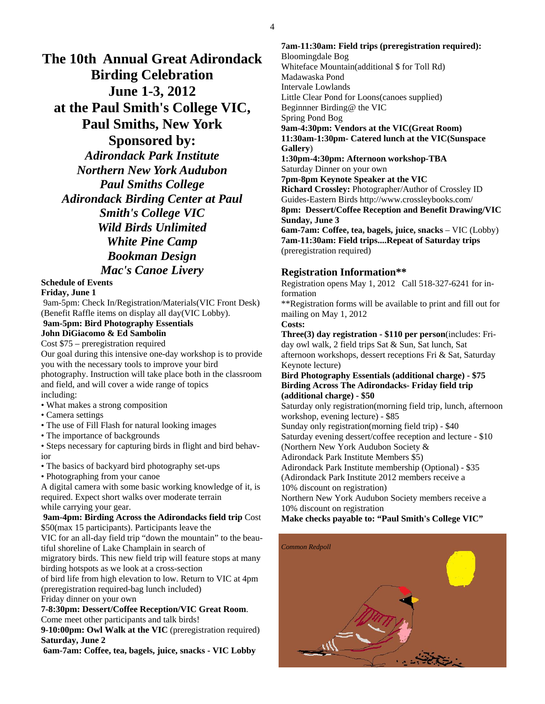**The 10th Annual Great Adirondack Birding Celebration June 1-3, 2012 at the Paul Smith's College VIC, Paul Smiths, New York Sponsored by:**  *Adirondack Park Institute Northern New York Audubon Paul Smiths College Adirondack Birding Center at Paul Smith's College VIC Wild Birds Unlimited White Pine Camp Bookman Design Mac's Canoe Livery* 

## **Schedule of Events**

### **Friday, June 1**

 9am-5pm: Check In/Registration/Materials(VIC Front Desk) (Benefit Raffle items on display all day(VIC Lobby).

## **9am-5pm: Bird Photography Essentials**

**John DiGiacomo & Ed Sambolin** 

Cost \$75 – preregistration required

Our goal during this intensive one-day workshop is to provide you with the necessary tools to improve your bird

photography. Instruction will take place both in the classroom and field, and will cover a wide range of topics including:

- What makes a strong composition
- Camera settings
- The use of Fill Flash for natural looking images
- The importance of backgrounds

• Steps necessary for capturing birds in flight and bird behavior

• The basics of backyard bird photography set-ups

• Photographing from your canoe

A digital camera with some basic working knowledge of it, is required. Expect short walks over moderate terrain while carrying your gear.

#### **9am-4pm: Birding Across the Adirondacks field trip Cost** \$50(max 15 participants). Participants leave the

VIC for an all-day field trip "down the mountain" to the beautiful shoreline of Lake Champlain in search of

migratory birds. This new field trip will feature stops at many birding hotspots as we look at a cross-section

of bird life from high elevation to low. Return to VIC at 4pm (preregistration required-bag lunch included) Friday dinner on your own

**7-8:30pm: Dessert/Coffee Reception/VIC Great Room**. Come meet other participants and talk birds!

**9-10:00pm: Owl Walk at the VIC** (preregistration required) **Saturday, June 2** 

**6am-7am: Coffee, tea, bagels, juice, snacks - VIC Lobby**

**7am-11:30am: Field trips (preregistration required):**  Bloomingdale Bog Whiteface Mountain(additional \$ for Toll Rd) Madawaska Pond Intervale Lowlands Little Clear Pond for Loons(canoes supplied) Beginnner Birding@ the VIC Spring Pond Bog **9am-4:30pm: Vendors at the VIC(Great Room) 11:30am-1:30pm- Catered lunch at the VIC(Sunspace Gallery**) **1:30pm-4:30pm: Afternoon workshop-TBA** Saturday Dinner on your own **7pm-8pm Keynote Speaker at the VIC Richard Crossley:** Photographer/Author of Crossley ID Guides-Eastern Birds http://www.crossleybooks.com/ **8pm: Dessert/Coffee Reception and Benefit Drawing/VIC Sunday, June 3 6am-7am: Coffee, tea, bagels, juice, snacks** – VIC (Lobby) **7am-11:30am: Field trips....Repeat of Saturday trips** (preregistration required)

## **Registration Information\*\***

Registration opens May 1, 2012 Call 518-327-6241 for information

\*\*Registration forms will be available to print and fill out for mailing on May 1, 2012

**Costs:** 

**Three(3) day registration - \$110 per person**(includes: Friday owl walk, 2 field trips Sat & Sun, Sat lunch, Sat afternoon workshops, dessert receptions Fri & Sat, Saturday Keynote lecture)

#### **Bird Photography Essentials (additional charge) - \$75 Birding Across The Adirondacks- Friday field trip (additional charge) - \$50**

Saturday only registration(morning field trip, lunch, afternoon workshop, evening lecture) - \$85

Sunday only registration(morning field trip) - \$40

Saturday evening dessert/coffee reception and lecture - \$10 (Northern New York Audubon Society &

Adirondack Park Institute Members \$5)

Adirondack Park Institute membership (Optional) - \$35

(Adirondack Park Institute 2012 members receive a

10% discount on registration)

Northern New York Audubon Society members receive a 10% discount on registration

**Make checks payable to: "Paul Smith's College VIC"** 

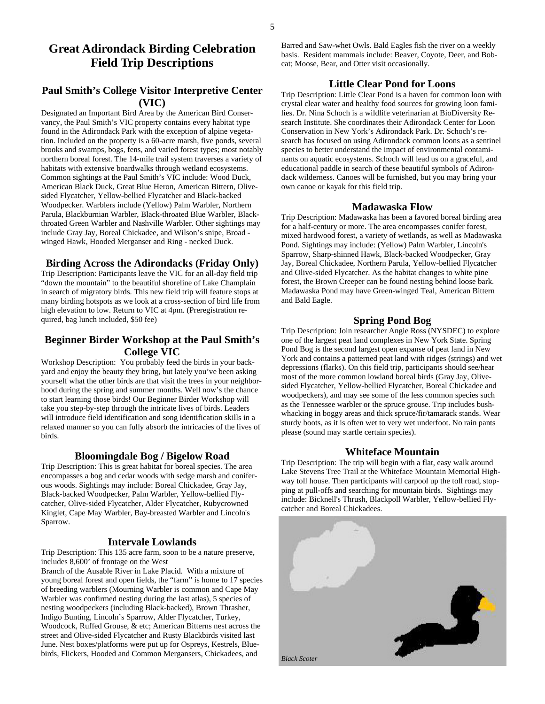# **Field Trip Descriptions**

## **Paul Smith's College Visitor Interpretive Center (VIC)**

Designated an Important Bird Area by the American Bird Conservancy, the Paul Smith's VIC property contains every habitat type found in the Adirondack Park with the exception of alpine vegetation. Included on the property is a 60-acre marsh, five ponds, several brooks and swamps, bogs, fens, and varied forest types; most notably northern boreal forest. The 14-mile trail system traverses a variety of habitats with extensive boardwalks through wetland ecosystems. Common sightings at the Paul Smith's VIC include: Wood Duck, American Black Duck, Great Blue Heron, American Bittern, Olivesided Flycatcher, Yellow-bellied Flycatcher and Black-backed Woodpecker. Warblers include (Yellow) Palm Warbler, Northern Parula, Blackburnian Warbler, Black-throated Blue Warbler, Blackthroated Green Warbler and Nashville Warbler. Other sightings may include Gray Jay, Boreal Chickadee, and Wilson's snipe, Broad winged Hawk, Hooded Merganser and Ring - necked Duck.

#### **Birding Across the Adirondacks (Friday Only)**

Trip Description: Participants leave the VIC for an all-day field trip "down the mountain" to the beautiful shoreline of Lake Champlain in search of migratory birds. This new field trip will feature stops at many birding hotspots as we look at a cross-section of bird life from high elevation to low. Return to VIC at 4pm. (Preregistration required, bag lunch included, \$50 fee)

## **Beginner Birder Workshop at the Paul Smith's College VIC**

Workshop Description: You probably feed the birds in your backyard and enjoy the beauty they bring, but lately you've been asking yourself what the other birds are that visit the trees in your neighborhood during the spring and summer months. Well now's the chance to start learning those birds! Our Beginner Birder Workshop will take you step-by-step through the intricate lives of birds. Leaders will introduce field identification and song identification skills in a relaxed manner so you can fully absorb the intricacies of the lives of birds.

#### **Bloomingdale Bog / Bigelow Road**

Trip Description: This is great habitat for boreal species. The area encompasses a bog and cedar woods with sedge marsh and coniferous woods. Sightings may include: Boreal Chickadee, Gray Jay, Black-backed Woodpecker, Palm Warbler, Yellow-bellied Flycatcher, Olive-sided Flycatcher, Alder Flycatcher, Rubycrowned Kinglet, Cape May Warbler, Bay-breasted Warbler and Lincoln's Sparrow.

#### **Intervale Lowlands**

Trip Description: This 135 acre farm, soon to be a nature preserve, includes 8,600' of frontage on the West Branch of the Ausable River in Lake Placid. With a mixture of young boreal forest and open fields, the "farm" is home to 17 species of breeding warblers (Mourning Warbler is common and Cape May Warbler was confirmed nesting during the last atlas), 5 species of nesting woodpeckers (including Black-backed), Brown Thrasher, Indigo Bunting, Lincoln's Sparrow, Alder Flycatcher, Turkey, Woodcock, Ruffed Grouse, & etc; American Bitterns nest across the street and Olive-sided Flycatcher and Rusty Blackbirds visited last June. Nest boxes/platforms were put up for Ospreys, Kestrels, Bluebirds, Flickers, Hooded and Common Mergansers, Chickadees, and *Black Scoter* 

**Great Adirondack Birding Celebration** Barred and Saw-whet Owls. Bald Eagles fish the river on a weekly beginning to be and Bob and Bob and Bob and Bob and Bob and Bob and Bob and Bob and Bob and Bob and Bob and Bob and Bo basis. Resident mammals include: Beaver, Coyote, Deer, and Bobcat; Moose, Bear, and Otter visit occasionally.

#### **Little Clear Pond for Loons**

Trip Description: Little Clear Pond is a haven for common loon with crystal clear water and healthy food sources for growing loon families. Dr. Nina Schoch is a wildlife veterinarian at BioDiversity Research Institute. She coordinates their Adirondack Center for Loon Conservation in New York's Adirondack Park. Dr. Schoch's research has focused on using Adirondack common loons as a sentinel species to better understand the impact of environmental contaminants on aquatic ecosystems. Schoch will lead us on a graceful, and educational paddle in search of these beautiful symbols of Adirondack wilderness. Canoes will be furnished, but you may bring your own canoe or kayak for this field trip.

#### **Madawaska Flow**

Trip Description: Madawaska has been a favored boreal birding area for a half-century or more. The area encompasses conifer forest, mixed hardwood forest, a variety of wetlands, as well as Madawaska Pond. Sightings may include: (Yellow) Palm Warbler, Lincoln's Sparrow, Sharp-shinned Hawk, Black-backed Woodpecker, Gray Jay, Boreal Chickadee, Northern Parula, Yellow-bellied Flycatcher and Olive-sided Flycatcher. As the habitat changes to white pine forest, the Brown Creeper can be found nesting behind loose bark. Madawaska Pond may have Green-winged Teal, American Bittern and Bald Eagle.

#### **Spring Pond Bog**

Trip Description: Join researcher Angie Ross (NYSDEC) to explore one of the largest peat land complexes in New York State. Spring Pond Bog is the second largest open expanse of peat land in New York and contains a patterned peat land with ridges (strings) and wet depressions (flarks). On this field trip, participants should see/hear most of the more common lowland boreal birds (Gray Jay, Olivesided Flycatcher, Yellow-bellied Flycatcher, Boreal Chickadee and woodpeckers), and may see some of the less common species such as the Tennessee warbler or the spruce grouse. Trip includes bushwhacking in boggy areas and thick spruce/fir/tamarack stands. Wear sturdy boots, as it is often wet to very wet underfoot. No rain pants please (sound may startle certain species).

#### **Whiteface Mountain**

Trip Description: The trip will begin with a flat, easy walk around Lake Stevens Tree Trail at the Whiteface Mountain Memorial Highway toll house. Then participants will carpool up the toll road, stopping at pull-offs and searching for mountain birds. Sightings may include: Bicknell's Thrush, Blackpoll Warbler, Yellow-bellied Flycatcher and Boreal Chickadees.

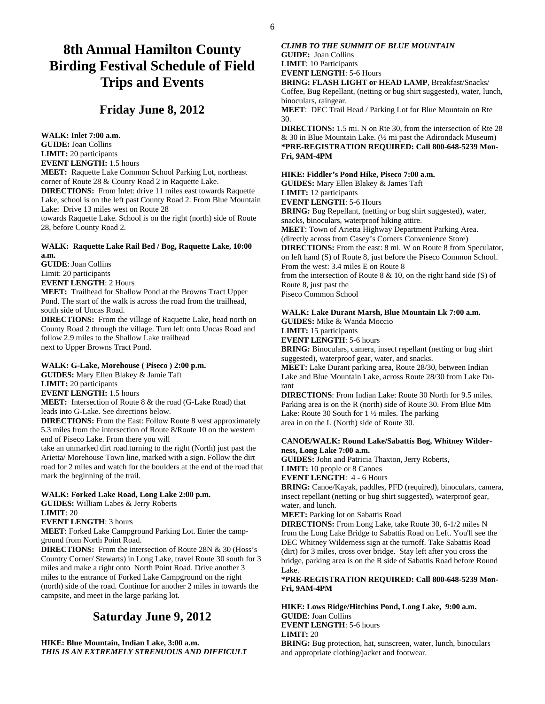# **8th Annual Hamilton County Birding Festival Schedule of Field Trips and Events**

## **Friday June 8, 2012**

**WALK: Inlet 7:00 a.m. GUIDE:** Joan Collins **LIMIT:** 20 participants **EVENT LENGTH:** 1.5 hours **MEET:** Raquette Lake Common School Parking Lot, northeast corner of Route 28 & County Road 2 in Raquette Lake. **DIRECTIONS:** From Inlet: drive 11 miles east towards Raquette Lake, school is on the left past County Road 2. From Blue Mountain Lake: Drive 13 miles west on Route 28 towards Raquette Lake. School is on the right (north) side of Route 28, before County Road 2.

#### **WALK: Raquette Lake Rail Bed / Bog, Raquette Lake, 10:00 a.m.**

**GUIDE**: Joan Collins Limit: 20 participants

**EVENT LENGTH**: 2 Hours

**MEET:** Trailhead for Shallow Pond at the Browns Tract Upper Pond. The start of the walk is across the road from the trailhead, south side of Uncas Road.

**DIRECTIONS:** From the village of Raquette Lake, head north on County Road 2 through the village. Turn left onto Uncas Road and follow 2.9 miles to the Shallow Lake trailhead next to Upper Browns Tract Pond.

#### **WALK: G-Lake, Morehouse ( Piseco ) 2:00 p.m.**

**GUIDES:** Mary Ellen Blakey & Jamie Taft **LIMIT:** 20 participants **EVENT LENGTH:** 1.5 hours

**MEET:** Intersection of Route 8 & the road (G-Lake Road) that leads into G-Lake. See directions below.

**DIRECTIONS:** From the East: Follow Route 8 west approximately 5.3 miles from the intersection of Route 8/Route 10 on the western end of Piseco Lake. From there you will

take an unmarked dirt road.turning to the right (North) just past the Arietta/ Morehouse Town line, marked with a sign. Follow the dirt road for 2 miles and watch for the boulders at the end of the road that mark the beginning of the trail.

#### **WALK: Forked Lake Road, Long Lake 2:00 p.m.**

**GUIDES:** William Labes & Jerry Roberts **LIMIT**: 20

**EVENT LENGTH**: 3 hours

**MEET**: Forked Lake Campground Parking Lot. Enter the campground from North Point Road.

**DIRECTIONS:** From the intersection of Route 28N & 30 (Hoss's Country Corner/ Stewarts) in Long Lake, travel Route 30 south for 3 miles and make a right onto North Point Road. Drive another 3 miles to the entrance of Forked Lake Campground on the right (north) side of the road. Continue for another 2 miles in towards the campsite, and meet in the large parking lot.

## **Saturday June 9, 2012**

**HIKE: Blue Mountain, Indian Lake, 3:00 a.m.**  *THIS IS AN EXTREMELY STRENUOUS AND DIFFICULT* 

#### *CLIMB TO THE SUMMIT OF BLUE MOUNTAIN*  **GUIDE:** Joan Collins

**LIMIT**: 10 Participants

**EVENT LENGTH**: 5-6 Hours

**BRING: FLASH LIGHT or HEAD LAMP**, Breakfast/Snacks/ Coffee, Bug Repellant, (netting or bug shirt suggested), water, lunch, binoculars, raingear.

**MEET**: DEC Trail Head / Parking Lot for Blue Mountain on Rte 30.

**DIRECTIONS:** 1.5 mi. N on Rte 30, from the intersection of Rte 28 & 30 in Blue Mountain Lake. (½ mi past the Adirondack Museum) **\*PRE-REGISTRATION REQUIRED: Call 800-648-5239 Mon-Fri, 9AM-4PM** 

#### **HIKE: Fiddler's Pond Hike, Piseco 7:00 a.m.**

**GUIDES:** Mary Ellen Blakey & James Taft

**LIMIT:** 12 participants

**EVENT LENGTH**: 5-6 Hours

**BRING:** Bug Repellant, (netting or bug shirt suggested), water, snacks, binoculars, waterproof hiking attire.

**MEET**: Town of Arietta Highway Department Parking Area.

(directly across from Casey's Corners Convenience Store)

**DIRECTIONS:** From the east: 8 mi. W on Route 8 from Speculator, on left hand (S) of Route 8, just before the Piseco Common School.

From the west: 3.4 miles E on Route 8

from the intersection of Route  $8 \& 10$ , on the right hand side (S) of Route 8, just past the

Piseco Common School

#### **WALK: Lake Durant Marsh, Blue Mountain Lk 7:00 a.m.**

**GUIDES:** Mike & Wanda Moccio

**LIMIT:** 15 participants

**EVENT LENGTH**: 5-6 hours

**BRING:** Binoculars, camera, insect repellant (netting or bug shirt suggested), waterproof gear, water, and snacks.

**MEET:** Lake Durant parking area, Route 28/30, between Indian Lake and Blue Mountain Lake, across Route 28/30 from Lake Durant

**DIRECTIONS**: From Indian Lake: Route 30 North for 9.5 miles. Parking area is on the R (north) side of Route 30. From Blue Mtn Lake: Route 30 South for 1 ½ miles. The parking area in on the L (North) side of Route 30.

#### **CANOE/WALK: Round Lake/Sabattis Bog, Whitney Wilderness, Long Lake 7:00 a.m.**

**GUIDES:** John and Patricia Thaxton, Jerry Roberts,

**LIMIT:** 10 people or 8 Canoes

**EVENT LENGTH**: 4 - 6 Hours

**BRING:** Canoe/Kayak, paddles, PFD (required), binoculars, camera, insect repellant (netting or bug shirt suggested), waterproof gear, water, and lunch.

**MEET:** Parking lot on Sabattis Road

**DIRECTIONS:** From Long Lake, take Route 30, 6-1/2 miles N from the Long Lake Bridge to Sabattis Road on Left. You'll see the DEC Whitney Wilderness sign at the turnoff. Take Sabattis Road (dirt) for 3 miles, cross over bridge. Stay left after you cross the bridge, parking area is on the R side of Sabattis Road before Round Lake.

**\*PRE-REGISTRATION REQUIRED: Call 800-648-5239 Mon-Fri, 9AM-4PM** 

**HIKE: Lows Ridge/Hitchins Pond, Long Lake, 9:00 a.m. GUIDE**: Joan Collins **EVENT LENGTH**: 5-6 hours **LIMIT:** 20

**BRING:** Bug protection, hat, sunscreen, water, lunch, binoculars and appropriate clothing/jacket and footwear.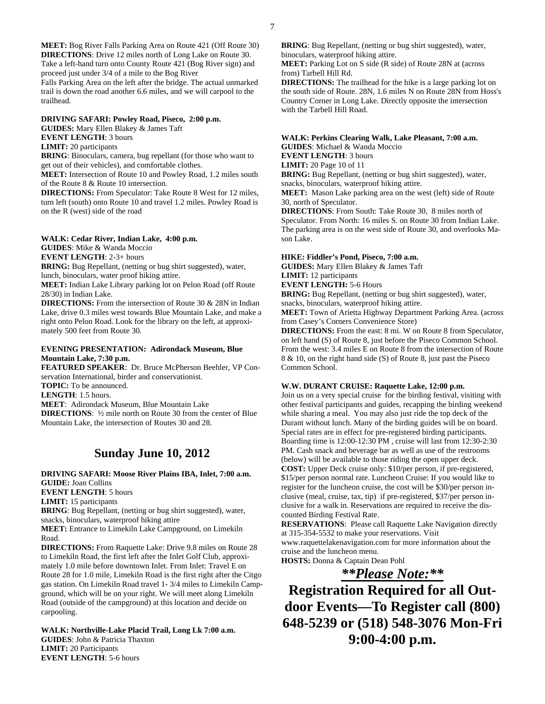**MEET:** Bog River Falls Parking Area on Route 421 (Off Route 30) **DIRECTIONS**: Drive 12 miles north of Long Lake on Route 30. Take a left-hand turn onto County Route 421 (Bog River sign) and proceed just under 3/4 of a mile to the Bog River Falls Parking Area on the left after the bridge. The actual unmarked

trail is down the road another 6.6 miles, and we will carpool to the trailhead.

#### **DRIVING SAFARI: Powley Road, Piseco, 2:00 p.m.**

**GUIDES:** Mary Ellen Blakey & James Taft

**EVENT LENGTH**: 3 hours

#### **LIMIT:** 20 participants

**BRING**: Binoculars, camera, bug repellant (for those who want to get out of their vehicles), and comfortable clothes.

**MEET:** Intersection of Route 10 and Powley Road, 1.2 miles south of the Route 8 & Route 10 intersection.

**DIRECTIONS:** From Speculator: Take Route 8 West for 12 miles, turn left (south) onto Route 10 and travel 1.2 miles. Powley Road is on the R (west) side of the road

#### **WALK: Cedar River, Indian Lake, 4:00 p.m.**

**GUIDES**: Mike & Wanda Moccio

**EVENT LENGTH**: 2-3+ hours

**BRING:** Bug Repellant, (netting or bug shirt suggested), water, lunch, binoculars, water proof hiking attire.

**MEET:** Indian Lake Library parking lot on Pelon Road (off Route 28/30) in Indian Lake.

**DIRECTIONS:** From the intersection of Route 30 & 28N in Indian Lake, drive 0.3 miles west towards Blue Mountain Lake, and make a right onto Pelon Road. Look for the library on the left, at approximately 500 feet from Route 30.

#### **EVENING PRESENTATION: Adirondack Museum, Blue Mountain Lake, 7:30 p.m.**

**FEATURED SPEAKER**: Dr. Bruce McPherson Beehler, VP Conservation International, birder and conservationist. **TOPIC:** To be announced. **LENGTH**: 1.5 hours. **MEET**: Adirondack Museum, Blue Mountain Lake **DIRECTIONS**: ½ mile north on Route 30 from the center of Blue Mountain Lake, the intersection of Routes 30 and 28.

## **Sunday June 10, 2012**

**DRIVING SAFARI: Moose River Plains IBA, Inlet, 7:00 a.m. GUIDE:** Joan Collins

**EVENT LENGTH**: 5 hours

**LIMIT:** 15 participants

**BRING**: Bug Repellant, (netting or bug shirt suggested), water, snacks, binoculars, waterproof hiking attire

**MEET:** Entrance to Limekiln Lake Campground, on Limekiln Road.

**DIRECTIONS:** From Raquette Lake: Drive 9.8 miles on Route 28 to Limekiln Road, the first left after the Inlet Golf Club, approximately 1.0 mile before downtown Inlet. From Inlet: Travel E on Route 28 for 1.0 mile, Limekiln Road is the first right after the Citgo gas station. On Limekiln Road travel 1- 3/4 miles to Limekiln Campground, which will be on your right. We will meet along Limekiln Road (outside of the campground) at this location and decide on carpooling.

**WALK: Northville-Lake Placid Trail, Long Lk 7:00 a.m. GUIDES**: John & Patricia Thaxton **LIMIT:** 20 Participants **EVENT LENGTH**: 5-6 hours

**BRING**: Bug Repellant, (netting or bug shirt suggested), water, binoculars, waterproof hiking attire.

**MEET:** Parking Lot on S side (R side) of Route 28N at (across from) Tarbell Hill Rd.

**DIRECTIONS:** The trailhead for the hike is a large parking lot on the south side of Route. 28N, 1.6 miles N on Route 28N from Hoss's Country Corner in Long Lake. Directly opposite the intersection with the Tarbell Hill Road.

#### **WALK: Perkins Clearing Walk, Lake Pleasant, 7:00 a.m. GUIDES**: Michael & Wanda Moccio

**EVENT LENGTH**: 3 hours

**LIMIT:** 20 Page 10 of 11

**BRING:** Bug Repellant, (netting or bug shirt suggested), water, snacks, binoculars, waterproof hiking attire.

**MEET:** Mason Lake parking area on the west (left) side of Route 30, north of Speculator.

**DIRECTIONS**: From South: Take Route 30, 8 miles north of Speculator. From North: 16 miles S. on Route 30 from Indian Lake. The parking area is on the west side of Route 30, and overlooks Mason Lake.

#### **HIKE: Fiddler's Pond, Piseco, 7:00 a.m.**

**GUIDES:** Mary Ellen Blakey & James Taft

**LIMIT:** 12 participants

**EVENT LENGTH:** 5-6 Hours

**BRING:** Bug Repellant, (netting or bug shirt suggested), water, snacks, binoculars, waterproof hiking attire.

**MEET:** Town of Arietta Highway Department Parking Area. (across from Casey's Corners Convenience Store)

**DIRECTIONS:** From the east: 8 mi. W on Route 8 from Speculator, on left hand (S) of Route 8, just before the Piseco Common School. From the west: 3.4 miles E on Route 8 from the intersection of Route 8 & 10, on the right hand side (S) of Route 8, just past the Piseco Common School.

#### **W.W. DURANT CRUISE: Raquette Lake, 12:00 p.m.**

Join us on a very special cruise for the birding festival, visiting with other festival participants and guides, recapping the birding weekend while sharing a meal. You may also just ride the top deck of the Durant without lunch. Many of the birding guides will be on board. Special rates are in effect for pre-registered birding participants. Boarding time is 12:00-12:30 PM , cruise will last from 12:30-2:30 PM. Cash snack and beverage bar as well as use of the restrooms (below) will be available to those riding the open upper deck. **COST:** Upper Deck cruise only: \$10/per person, if pre-registered, \$15/per person normal rate. Luncheon Cruise: If you would like to register for the luncheon cruise, the cost will be \$30/per person inclusive (meal, cruise, tax, tip) if pre-registered, \$37/per person inclusive for a walk in. Reservations are required to receive the discounted Birding Festival Rate.

**RESERVATIONS**: Please call Raquette Lake Navigation directly at 315-354-5532 to make your reservations. Visit www.raquettelakenavigation.com for more information about the cruise and the luncheon menu.

**HOSTS:** Donna & Captain Dean Pohl

*\*\*Please Note:\*\**

**Registration Required for all Outdoor Events—To Register call (800) 648-5239 or (518) 548-3076 Mon-Fri 9:00-4:00 p.m.**